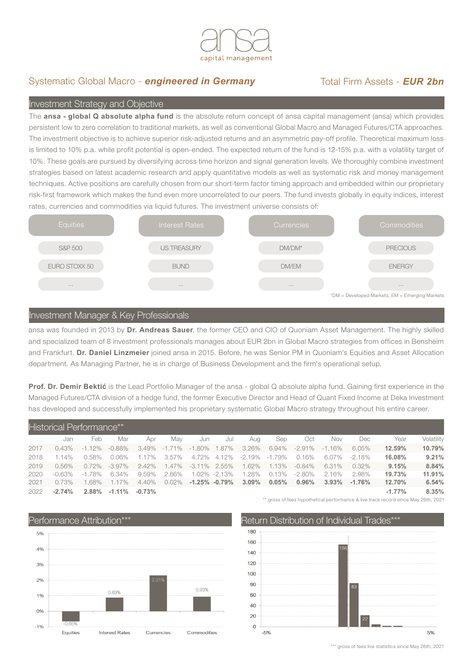

# Systematic Global Macro - **engineered in Germany** Total Firm Assets - **EUR 2bn**

## Investment Strategy and Objective

The **ansa - global Q absolute alpha fund** is the absolute return concept of ansa capital management (ansa) which provides persistent low to zero correlation to traditional markets, as well as conventional Global Macro and Managed Futures/CTA approaches. The investment objective is to achieve superior risk-adjusted returns and an asymmetric pay-off profile. Theoretical maximum loss is limited to 10% p.a. while profit potential is open-ended. The expected return of the fund is 12-15% p.a. with a volatility target of 10%. These goals are pursued by diversifying across time horizon and signal generation levels. We thoroughly combine investment strategies based on latest academic research and apply quantitative models as well as systematic risk and money management techniques. Active positions are carefully chosen from our short-term factor timing approach and embedded within our proprietary risk-first framework which makes the fund even more uncorrelated to our peers. The fund invests globally in equity indices, interest rates, currencies and commodities via liquid futures. The investment universe consists of:



### Investment Manager & Key Professionals

ansa was founded in 2013 by **Dr. Andreas Sauer**, the former CEO and CIO of Quoniam Asset Management. The highly skilled and specialized team of 8 investment professionals manages about EUR 2bn in Global Macro strategies from offices in Bensheim and Frankfurt. **Dr. Daniel Linzmeier** joined ansa in 2015. Before, he was Senior PM in Quoniam's Equities and Asset Allocation department. As Managing Partner, he is in charge of Business Development and the firm's operational setup.

**Prof. Dr. Demir Bektić** is the Lead Portfolio Manager of the ansa - global Q absolute alpha fund. Gaining first experience in the Managed Futures/CTA division of a hedge fund, the former Executive Director and Head of Quant Fixed Income at Deka Investment has developed and successfully implemented his proprietary systematic Global Macro strategy throughout his entire career.

| Historical Performance** |           |           |                   |          |                     |                 |                     |                   |       |           |           |           |          |            |
|--------------------------|-----------|-----------|-------------------|----------|---------------------|-----------------|---------------------|-------------------|-------|-----------|-----------|-----------|----------|------------|
|                          | Jan       | Feb       | Mar               | Apr      | Mav                 | Jun             | Jul                 | Aua               | Sep   | Oct       | Nov       | Dec       | Year     | Volatility |
| 2017                     | $0.43\%$  | $-1.12\%$ | -0.88%            |          | 3.49% -1.71% -1.80% |                 | 1.87%               | 3.26%             | 6.94% | $-2.91\%$ | $-1.16\%$ | 6.05%     | 12.59%   | 10.79%     |
| 2018                     | 1.14%     | 0.58%     | 0.06%             | 1.17%    | 3.57%               |                 | 4.72% 4.12%         | $-2.19\% -1.79\%$ |       | $0.16\%$  | 6.07%     | $-2.18\%$ | 16.08%   | 9.21%      |
| 2019                     | 0.56%     | $0.72\%$  | -3.97%            | $2.42\%$ | 1.47%               | $-3.11\%$ 2.55% |                     | 1.62%             | 1.13% | -0.84%    | 6.31%     | $0.32\%$  | 9.15%    | 8.84%      |
| 2020                     | $-0.63\%$ | -1.78%    | 6.34%             | 9.59%    | 2.66%               |                 | $1.02\% -2.13\%$    | 1.28%             | 0.13% | $-2.80\%$ | 2.16%     | 2.98%     | 19.73%   | 11.91%     |
| 2021                     | $0.73\%$  | 1.68%     | 1.17%             | 4.40%    | $0.02\%$            |                 | $-1.25\%$ $-0.79\%$ | $3.09\%$          | 0.05% | $0.96\%$  | $3.93\%$  | $-1.76%$  | 12.70%   | 6.54%      |
| 2022                     | $-2.74\%$ | $2.88\%$  | $-1.11\% -0.73\%$ |          |                     |                 |                     |                   |       |           |           |           | $-1.77%$ | 8.35%      |



\*\* gross of fees hypothetical performance & live track record since May 26th, 2021



\*\*\* gross of fees live statistics since May 26th, 2021